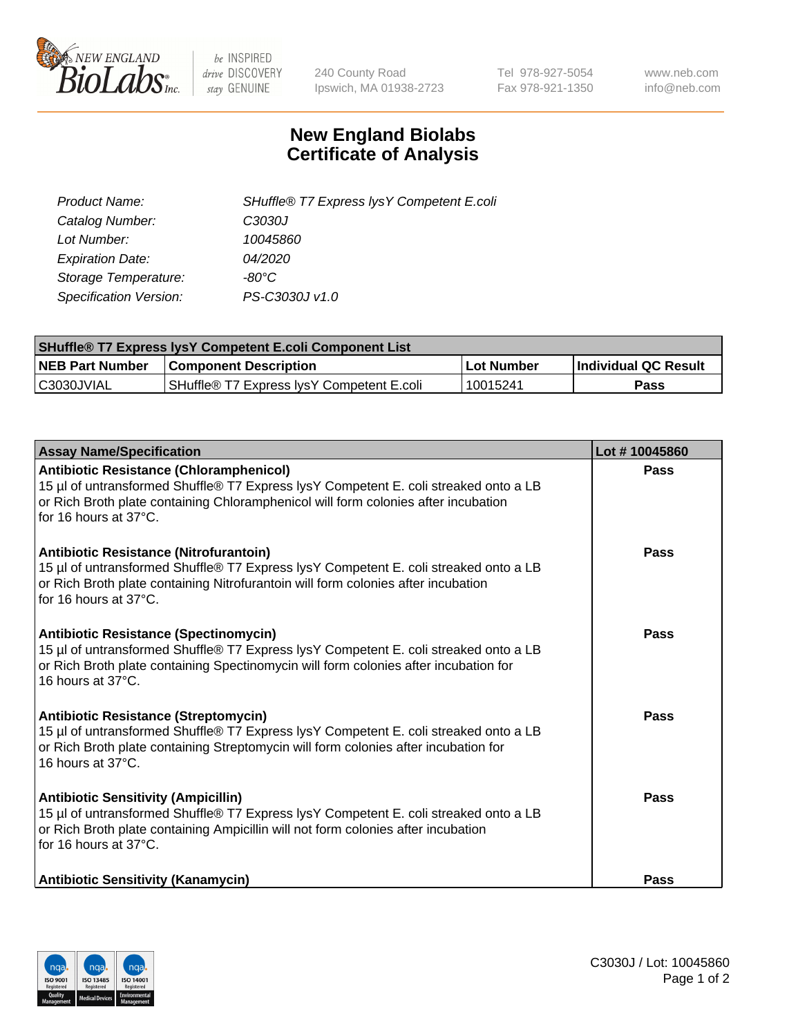

 $be$  INSPIRED drive DISCOVERY stay GENUINE

240 County Road Ipswich, MA 01938-2723 Tel 978-927-5054 Fax 978-921-1350 www.neb.com info@neb.com

## **New England Biolabs Certificate of Analysis**

| Product Name:           | SHuffle® T7 Express lysY Competent E.coli |
|-------------------------|-------------------------------------------|
| Catalog Number:         | C3030J                                    |
| Lot Number:             | 10045860                                  |
| <b>Expiration Date:</b> | 04/2020                                   |
| Storage Temperature:    | -80°C                                     |
| Specification Version:  | PS-C3030J v1.0                            |

| <b>SHuffle® T7 Express lysY Competent E.coli Component List</b> |                                           |                   |                             |  |
|-----------------------------------------------------------------|-------------------------------------------|-------------------|-----------------------------|--|
| <b>NEB Part Number</b>                                          | <b>Component Description</b>              | <b>Lot Number</b> | <b>Individual QC Result</b> |  |
| C3030JVIAL                                                      | SHuffle® T7 Express IysY Competent E.coli | 10015241          | Pass                        |  |

| <b>Assay Name/Specification</b>                                                                                                                                                                                                                       | Lot #10045860 |
|-------------------------------------------------------------------------------------------------------------------------------------------------------------------------------------------------------------------------------------------------------|---------------|
| <b>Antibiotic Resistance (Chloramphenicol)</b><br>15 µl of untransformed Shuffle® T7 Express lysY Competent E. coli streaked onto a LB<br>or Rich Broth plate containing Chloramphenicol will form colonies after incubation<br>for 16 hours at 37°C. | Pass          |
| Antibiotic Resistance (Nitrofurantoin)<br>15 µl of untransformed Shuffle® T7 Express lysY Competent E. coli streaked onto a LB<br>or Rich Broth plate containing Nitrofurantoin will form colonies after incubation<br>for 16 hours at 37°C.          | Pass          |
| <b>Antibiotic Resistance (Spectinomycin)</b><br>15 µl of untransformed Shuffle® T7 Express lysY Competent E. coli streaked onto a LB<br>or Rich Broth plate containing Spectinomycin will form colonies after incubation for<br>16 hours at 37°C.     | Pass          |
| <b>Antibiotic Resistance (Streptomycin)</b><br>15 µl of untransformed Shuffle® T7 Express lysY Competent E. coli streaked onto a LB<br>or Rich Broth plate containing Streptomycin will form colonies after incubation for<br>16 hours at 37°C.       | Pass          |
| <b>Antibiotic Sensitivity (Ampicillin)</b><br>15 µl of untransformed Shuffle® T7 Express lysY Competent E. coli streaked onto a LB<br>or Rich Broth plate containing Ampicillin will not form colonies after incubation<br>for 16 hours at 37°C.      | Pass          |
| <b>Antibiotic Sensitivity (Kanamycin)</b>                                                                                                                                                                                                             | <b>Pass</b>   |